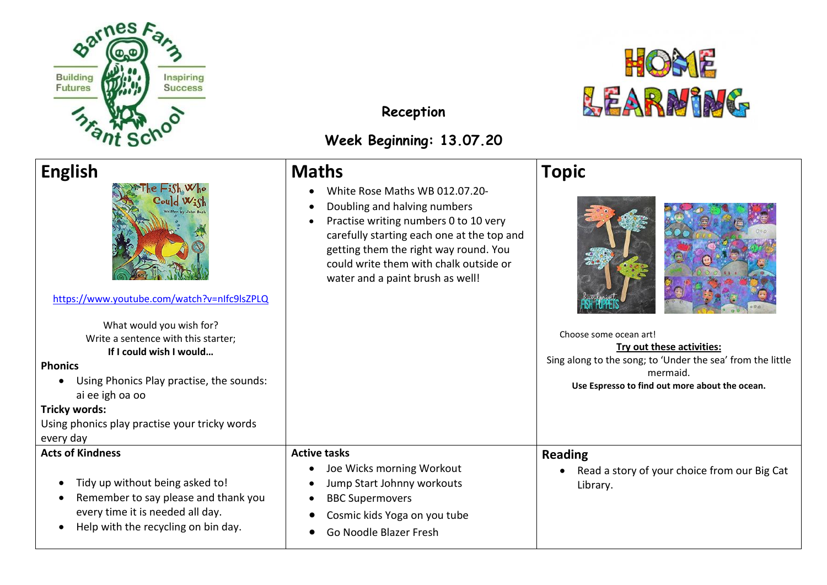



**Reception**

## **Week Beginning: 13.07.20**

## **English**  [https://www.youtube.com/watch?v=nIfc9lsZPLQ](https://www.bing.com/videos/search?q=the+fish+who+could+wish&&view=detail&mid=3D4C4064CEF8BD8360403D4C4064CEF8BD836040&&FORM=VDRVRV) What would you wish for? Write a sentence with this starter; **If I could wish I would… Phonics**  • Using Phonics Play practise, the sounds: ai ee igh oa oo **Tricky words:** Using phonics play practise your tricky words every day **Maths**  • White Rose Maths WB 012.07.20- • Doubling and halving numbers • Practise writing numbers 0 to 10 very carefully starting each one at the top and getting them the right way round. You could write them with chalk outside or water and a paint brush as well! **Topic**  L  $\overline{a}$ Choose some ocean art! **Try out these activities:** Sing along to the song; to 'Under the sea' from the little mermaid. **Use Espresso to find out more about the ocean. Acts of Kindness**  • Tidy up without being asked to! • Remember to say please and thank you every time it is needed all day. • Help with the recycling on bin day. **Active tasks**  • Joe Wicks morning Workout • Jump Start Johnny workouts • BBC Supermovers • Cosmic kids Yoga on you tube • Go Noodle Blazer Fresh **Reading**  • Read a story of your choice from our Big Cat Library.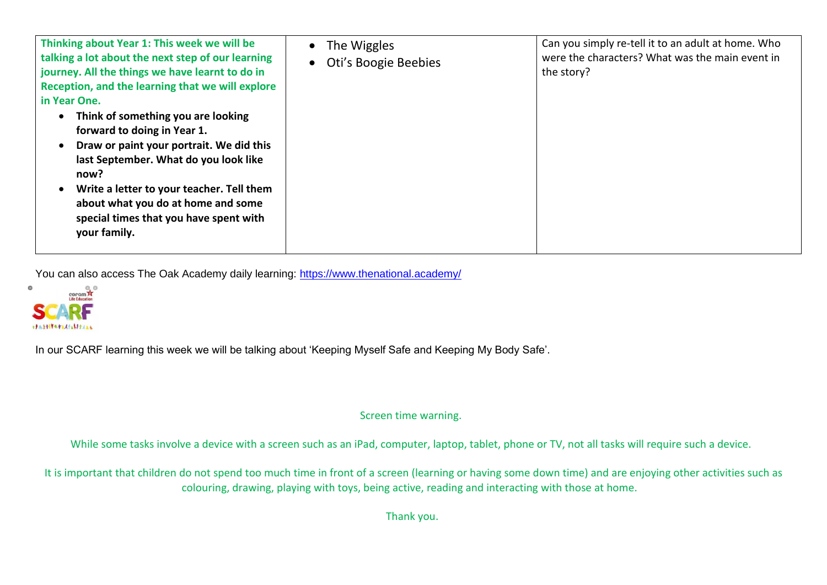| Thinking about Year 1: This week we will be<br>talking a lot about the next step of our learning<br>journey. All the things we have learnt to do in<br>Reception, and the learning that we will explore<br>in Year One.                                                                                     | The Wiggles<br>$\bullet$<br>Oti's Boogie Beebies | Can you simply re-tell it to an adult at home. Who<br>were the characters? What was the main event in<br>the story? |
|-------------------------------------------------------------------------------------------------------------------------------------------------------------------------------------------------------------------------------------------------------------------------------------------------------------|--------------------------------------------------|---------------------------------------------------------------------------------------------------------------------|
| Think of something you are looking<br>forward to doing in Year 1.<br>Draw or paint your portrait. We did this<br>last September. What do you look like<br>now?<br>Write a letter to your teacher. Tell them<br>about what you do at home and some<br>special times that you have spent with<br>your family. |                                                  |                                                                                                                     |

You can also access The Oak Academy daily learning:<https://www.thenational.academy/>



In our SCARF learning this week we will be talking about 'Keeping Myself Safe and Keeping My Body Safe'.

Screen time warning.

While some tasks involve a device with a screen such as an iPad, computer, laptop, tablet, phone or TV, not all tasks will require such a device.

It is important that children do not spend too much time in front of a screen (learning or having some down time) and are enjoying other activities such as colouring, drawing, playing with toys, being active, reading and interacting with those at home.

Thank you.